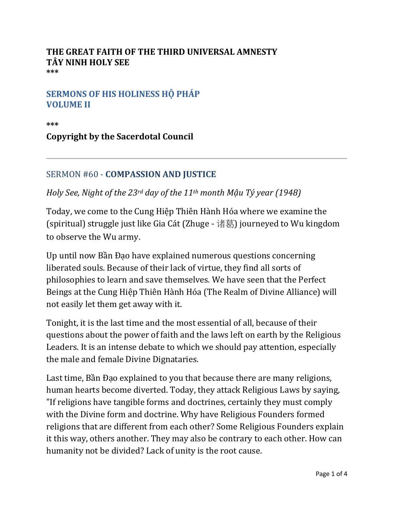### **THE GREAT FAITH OF THE THIRD UNIVERSAL AMNESTY TÂY NINH HOLY SEE \*\*\***

### **SERMONS OF HIS HOLINESS HỘ PHÁP VOLUME II**

**\*\*\***

# **Copyright by the Sacerdotal Council**

# SERMON #60 - **COMPASSION AND JUSTICE**

# *Holy See, Night of the 23rd day of the 11th month Mậu Tý year (1948)*

Today, we come to the Cung Hiệp Thiên Hành Hóa where we examine the (spiritual) struggle just like Gia Cát (Zhuge - 诸葛) journeyed to Wu kingdom to observe the Wu army.

Up until now Bần Đạo have explained numerous questions concerning liberated souls. Because of their lack of virtue, they find all sorts of philosophies to learn and save themselves. We have seen that the Perfect Beings at the Cung Hiệp Thiên Hành Hóa (The Realm of Divine Alliance) will not easily let them get away with it.

Tonight, it is the last time and the most essential of all, because of their questions about the power of faith and the laws left on earth by the Religious Leaders. It is an intense debate to which we should pay attention, especially the male and female Divine Dignataries.

Last time, Bần Đạo explained to you that because there are many religions, human hearts become diverted. Today, they attack Religious Laws by saying, "If religions have tangible forms and doctrines, certainly they must comply with the Divine form and doctrine. Why have Religious Founders formed religions that are different from each other? Some Religious Founders explain it this way, others another. They may also be contrary to each other. How can humanity not be divided? Lack of unity is the root cause.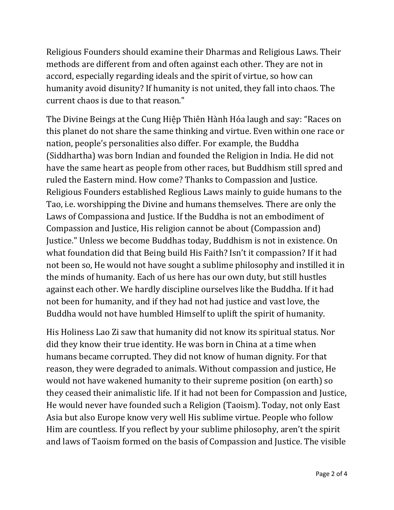Religious Founders should examine their Dharmas and Religious Laws. Their methods are different from and often against each other. They are not in accord, especially regarding ideals and the spirit of virtue, so how can humanity avoid disunity? If humanity is not united, they fall into chaos. The current chaos is due to that reason."

The Divine Beings at the Cung Hiệp Thiên Hành Hóa laugh and say: "Races on this planet do not share the same thinking and virtue. Even within one race or nation, people's personalities also differ. For example, the Buddha (Siddhartha) was born Indian and founded the Religion in India. He did not have the same heart as people from other races, but Buddhism still spred and ruled the Eastern mind. How come? Thanks to Compassion and Justice. Religious Founders established Reglious Laws mainly to guide humans to the Tao, i.e. worshipping the Divine and humans themselves. There are only the Laws of Compassiona and Justice. If the Buddha is not an embodiment of Compassion and Justice, His religion cannot be about (Compassion and) Justice." Unless we become Buddhas today, Buddhism is not in existence. On what foundation did that Being build His Faith? Isn't it compassion? If it had not been so, He would not have sought a sublime philosophy and instilled it in the minds of humanity. Each of us here has our own duty, but still hustles against each other. We hardly discipline ourselves like the Buddha. If it had not been for humanity, and if they had not had justice and vast love, the Buddha would not have humbled Himself to uplift the spirit of humanity.

His Holiness Lao Zi saw that humanity did not know its spiritual status. Nor did they know their true identity. He was born in China at a time when humans became corrupted. They did not know of human dignity. For that reason, they were degraded to animals. Without compassion and justice, He would not have wakened humanity to their supreme position (on earth) so they ceased their animalistic life. If it had not been for Compassion and Justice, He would never have founded such a Religion (Taoism). Today, not only East Asia but also Europe know very well His sublime virtue. People who follow Him are countless. If you reflect by your sublime philosophy, aren't the spirit and laws of Taoism formed on the basis of Compassion and Justice. The visible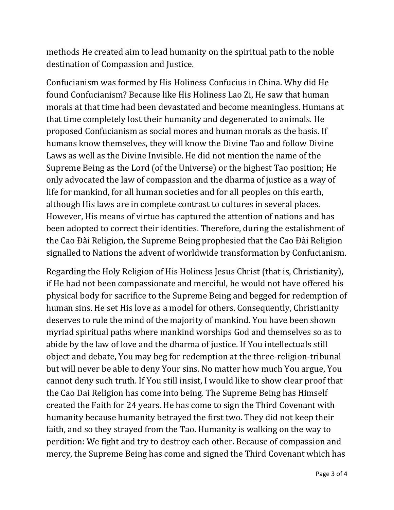methods He created aim to lead humanity on the spiritual path to the noble destination of Compassion and Justice.

Confucianism was formed by His Holiness Confucius in China. Why did He found Confucianism? Because like His Holiness Lao Zi, He saw that human morals at that time had been devastated and become meaningless. Humans at that time completely lost their humanity and degenerated to animals. He proposed Confucianism as social mores and human morals as the basis. If humans know themselves, they will know the Divine Tao and follow Divine Laws as well as the Divine Invisible. He did not mention the name of the Supreme Being as the Lord (of the Universe) or the highest Tao position; He only advocated the law of compassion and the dharma of justice as a way of life for mankind, for all human societies and for all peoples on this earth, although His laws are in complete contrast to cultures in several places. However, His means of virtue has captured the attention of nations and has been adopted to correct their identities. Therefore, during the estalishment of the Cao Đài Religion, the Supreme Being prophesied that the Cao Đài Religion signalled to Nations the advent of worldwide transformation by Confucianism.

Regarding the Holy Religion of His Holiness Jesus Christ (that is, Christianity), if He had not been compassionate and merciful, he would not have offered his physical body for sacrifice to the Supreme Being and begged for redemption of human sins. He set His love as a model for others. Consequently, Christianity deserves to rule the mind of the majority of mankind. You have been shown myriad spiritual paths where mankind worships God and themselves so as to abide by the law of love and the dharma of justice. If You intellectuals still object and debate, You may beg for redemption at the three-religion-tribunal but will never be able to deny Your sins. No matter how much You argue, You cannot deny such truth. If You still insist, I would like to show clear proof that the Cao Dai Religion has come into being. The Supreme Being has Himself created the Faith for 24 years. He has come to sign the Third Covenant with humanity because humanity betrayed the first two. They did not keep their faith, and so they strayed from the Tao. Humanity is walking on the way to perdition: We fight and try to destroy each other. Because of compassion and mercy, the Supreme Being has come and signed the Third Covenant which has